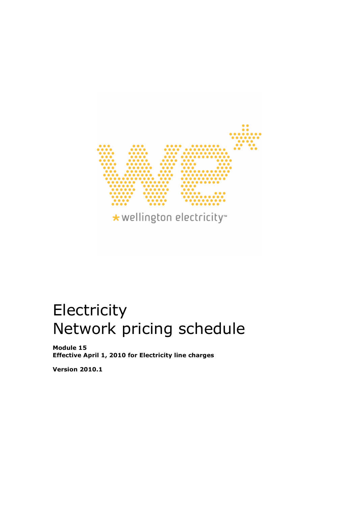

# **Electricity** Network pricing schedule

Module 15 Effective April 1, 2010 for Electricity line charges

Version 2010.1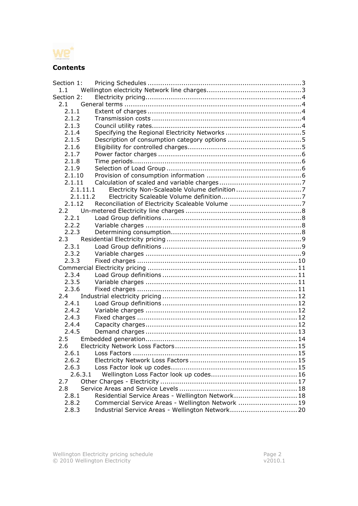

# **Contents**

| Section 1: |                                                   |  |
|------------|---------------------------------------------------|--|
| 1.1        |                                                   |  |
| Section 2: |                                                   |  |
| 2.1        |                                                   |  |
| 2.1.1      |                                                   |  |
| 2.1.2      |                                                   |  |
| 2.1.3      |                                                   |  |
| 2.1.4      |                                                   |  |
| 2.1.5      |                                                   |  |
| 2.1.6      |                                                   |  |
| 2.1.7      |                                                   |  |
| 2.1.8      |                                                   |  |
| 2.1.9      |                                                   |  |
| 2.1.10     |                                                   |  |
| 2.1.11     |                                                   |  |
| 2.1.11.1   |                                                   |  |
| 2.1.11.2   |                                                   |  |
| 2.1.12     |                                                   |  |
| 2.2        |                                                   |  |
| 2.2.1      |                                                   |  |
| 2.2.2      |                                                   |  |
| 2.2.3      |                                                   |  |
| 2.3        |                                                   |  |
| 2.3.1      |                                                   |  |
| 2.3.2      |                                                   |  |
| 2.3.3      |                                                   |  |
|            |                                                   |  |
| 2.3.4      |                                                   |  |
| 2.3.5      |                                                   |  |
| 2.3.6      |                                                   |  |
| 2.4        |                                                   |  |
| 2.4.1      |                                                   |  |
| 2.4.2      |                                                   |  |
| 2.4.3      |                                                   |  |
| 2.4.4      |                                                   |  |
| 2.4.5      |                                                   |  |
| 2.5        |                                                   |  |
| 2.6        |                                                   |  |
| 2.6.1      |                                                   |  |
| 2.6.2      |                                                   |  |
| 2.6.3      |                                                   |  |
| 2.6.3.1    |                                                   |  |
| 2.7        |                                                   |  |
| 2.8        |                                                   |  |
| 2.8.1      | Residential Service Areas - Wellington Network 18 |  |
| 2.8.2      | Commercial Service Areas - Wellington Network  19 |  |
| 2.8.3      |                                                   |  |
|            |                                                   |  |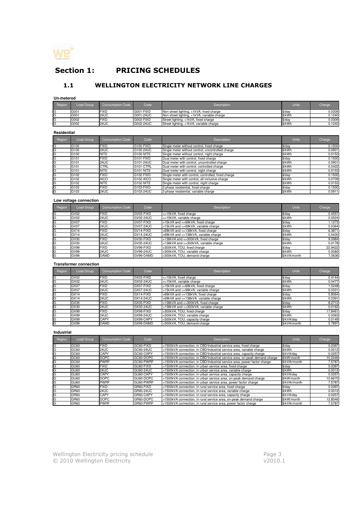

# Section 1: PRICING SCHEDULES

# 1.1 WELLINGTON ELECTRICITY NETWORK LINE CHARGES

**Un-metered**

| Region | Load Group | Consumption Code | Code      | Description                                 | <b>Units</b> | Charge |
|--------|------------|------------------|-----------|---------------------------------------------|--------------|--------|
| G      | G001       | <b>IFIXD</b>     | G001-FIXD | Non street lighting, <1kVA, fixed charge    | $$$ /dav     | 0.0309 |
| G      | G001       | 24UC             | G001-24UC | Non street lighting, <1kVA, variable charge | \$/kWh       | 0.1240 |
| G      | G002       | <b>IFIXD</b>     | G002-FIXD | Street lighting, <1kVA, fixed charge        | \$/day       | 0.0309 |
| G      | G002       | 24UC             | G002-24UC | Street lighting, <1kVA, variable charge     | \$/kWh       | 0.1240 |

#### **Residential**

| Region | Load Group       | <b>Consumption Code</b> | Code      | Description                                         | <b>Units</b> | Charge |  |
|--------|------------------|-------------------------|-----------|-----------------------------------------------------|--------------|--------|--|
| G      | G100             | <b>FIXD</b>             | G100-FIXD | Single meter without control, fixed charge          | \$/day       | 0.1500 |  |
| G      | G100             | 24UC                    | G100-24UC | Single meter without control, uncontrolled charge   | \$/kWh       | 0.0901 |  |
| G      | G100             | <b>NITE</b>             | G100-NITE | Single meter without control, night charge          | S/kWh        | 0.0153 |  |
| G      | G101             | <b>FIXD</b>             | G101-FIXD | Dual meter with control, fixed charge               | \$/day       | 0.1500 |  |
| G      | G <sub>101</sub> | 24UC                    | G101-24UC | Dual meter with control, uncontrolled charge        | \$/kWh       | 0.0901 |  |
| G      | G <sub>101</sub> | <b>CTRL</b>             | G101-CTRL | Dual meter with control, controlled charge          | \$/kWh       | 0.0422 |  |
| G      | G <sub>101</sub> | <b>NITE</b>             | G101-NITE | Dual meter with control, night charge               | \$/kWh       | 0.0153 |  |
| G      | G <sub>102</sub> | <b>FIXD</b>             | G102-FIXD | Single meter with control, controlled, fixed charge | \$/day       | 0.1500 |  |
| G      | G102             | <b>AICO</b>             | G102-AICO | Single meter with control, all inclusive charge     | \$/kWh       | 0.0709 |  |
| G      | G <sub>102</sub> | <b>NITE</b>             | G102-NITE | Single meter with control, night charge             | \$/kWh       | 0.0153 |  |
| G      | G <sub>103</sub> | <b>FIXD</b>             | G103-FIXD | 3 phase residential, fixed charge                   | \$/day       | 0.1500 |  |
| G      | G <sub>103</sub> | <b>24UC</b>             | G103-24UC | 3 phase residential, variable charge                | \$/kWh       | 0.0911 |  |

#### **Low voltage connection**

| Region | Load Group       | <b>Consumption Code</b> | Code             | Description                            | <b>Units</b> | Charge  |
|--------|------------------|-------------------------|------------------|----------------------------------------|--------------|---------|
| G      | GV02             | <b>FIXD</b>             | GV02-FIXD        | <=15kVA, fixed charge                  | \$/day       | 0.4557  |
| G      | GV02             | <b>24UC</b>             | GV02-24UC        | <=15kVA, variable charge               | \$/kWh       | 0.0524  |
| G      | GV07             | <b>FIXD</b>             | GV07-FIXD        | >15kVA and <=69kVA, fixed charge       | \$/day       | 1.1273  |
| G      | GV07             | <b>24UC</b>             | <b>GV07-24UC</b> | >15kVA and <=69kVA, variable charge    | \$/kWh       | 0.0364  |
| G      | GV <sub>14</sub> | <b>FIXD</b>             | GV14-FIXD        | >69kVA and <=138kVA, fixed charge      | \$/day       | 6.3871  |
| G      | GV <sub>14</sub> | <b>24UC</b>             | <b>GV14-24UC</b> | >69kVA and <= 138kVA, variable charge  | \$/kWh       | 0.0430  |
| G      | GV30             | <b>FIXD</b>             | GV30-FIXD        | >138kVA and <= 300kVA, fixed charge    | \$/day       | 9.0984  |
| G      | GV30             | <b>24UC</b>             | GV30-24UC        | >138kVA and <= 300kVA, variable charge | \$/kWh       | 0.0178  |
| G      | GV99             | <b>FIXD</b>             | GV99-FIXD        | >300kVA. TOU, fixed charge             | \$/day       | 22.9422 |
| G      | GV99             | 24UC                    | GV99-24UC        | >300kVA, TOU, variable charge          | \$/kWh       | 0.0080  |
| G      | GV99             | <b>DAMD</b>             | GV99-DAMD        | >300kVA. TOU, demand charge            | \$/kVA/month | 7.0636  |

#### **Transformer connection**

| Region | Load Group | <b>Consumption Code</b> | Code      | Description                            | <b>Units</b> | Charge  |
|--------|------------|-------------------------|-----------|----------------------------------------|--------------|---------|
| G      | GX02       | <b>FIXD</b>             | GX02-FIXD | <=15kVA, fixed charge                  | \$/day       | 0.4144  |
| G      | GX02       | <b>24UC</b>             | GX02-24UC | <=15kVA, variable charge               | \$/kWh       | 0.0477  |
| G      | GX07       | <b>FIXD</b>             | GX07-FIXD | >15kVA and <=69kVA, fixed charge       | \$/day       | 1.0248  |
| G      | GX07       | <b>24UC</b>             | GX07-24UC | >15kVA and <=69kVA, variable charge    | \$/kWh       | 0.0331  |
| G      | GX14       | <b>FIXD</b>             | GX14-FIXD | >69kVA and <=138kVA, fixed charge      | \$/day       | 5.8064  |
| G      | GX14       | <b>24UC</b>             | GX14-24UC | >69kVA and <=138kVA, variable charge   | \$/kWh       | 0.0391  |
| G      | GX30       | <b>FIXD</b>             | GX30-FIXD | >138kVA and <= 300kVA, fixed charge    | \$/day       | 8.2712  |
| G      | GX30       | <b>24UC</b>             | GX30-24UC | >138kVA and <= 300kVA, variable charge | \$/kWh       | 0.0162  |
| G      | GX99       | <b>FIXD</b>             | GX99-FIXD | >300kVA, TOU, fixed charge             | \$/day       | 17.8461 |
| G      | GX99       | <b>24UC</b>             | GX99-24UC | >300kVA, TOU, variable charge          | \$/kWh       | 0.0063  |
| G      | GX99       | CAPY                    | GX99-CAPY | >300kVA, TOU, capacity charge          | \$/kVA/dav   | 0.0149  |
| G      | GX99       | <b>DAMD</b>             | GX99-DAMD | >300kVA. TOU, demand charge            | \$/kVA/month | 5.7897  |

#### **Industrial**

| Region | Load Group       | <b>Consumption Code</b> | Code              | Description                                                                | <b>Units</b>  | Charge  |  |
|--------|------------------|-------------------------|-------------------|----------------------------------------------------------------------------|---------------|---------|--|
| G      | GC60             | <b>FIXD</b>             | GC60-FIXD         | >1500kVA connection, in CBD/Industrial service area, fixed charge          | $$$ /dav      | 0.0397  |  |
| G      | GC60             | <b>24UC</b>             | GC60-24UC         | >1500kVA connection, in CBD/Industrial service area, variable charge       | \$/kWh        | 0.0012  |  |
| G      | GC60             | <b>CAPY</b>             | GC60-CAPY         | >1500kVA connection, in CBD/Industrial service area, capacity charge       | \$/kVA/dav    | 0.0257  |  |
| G      | GC60             | <b>DOPC</b>             | GC60-DOPC         | >1500kVA connection, in CBD/Industrial service area, on-peak demand charge | \$/kW/month   | 10.2446 |  |
| G      | GC60             | <b>PWRF</b>             | GC60-PWRF         | >1500kVA connection, in CBD/Industrial service area, power factor charge   | \$/kVAr/month | 7.5787  |  |
| G      | GU <sub>60</sub> | <b>FIXD</b>             | GU60-FIXD         | >1500kVA connection, in urban service area, fixed charge                   | \$/day        | 0.0397  |  |
| G      | GU <sub>60</sub> | <b>24UC</b>             | <b>IGU60-24UC</b> | >1500kVA connection, in urban service area, variable charge                | \$/kWh        | 0.0012  |  |
| G      | GU60             | CAPY                    | GU60-CAPY         | >1500kVA connection, in urban service area, capacity charge                | \$/kVA/dav    | 0.0257  |  |
| G      | GU60             | <b>DOPC</b>             | IGU60-DOPC        | >1500kVA connection, in urban service area, on-peak demand charge          | \$/kW/month   | 10.6670 |  |
| G      | GU <sub>60</sub> | <b>PWRF</b>             | GU60-PWRF         | >1500kVA connection, in urban service area, power factor charge            | \$/kVAr/month | 7.5787  |  |
| G      | GR60             | <b>FIXD</b>             | GR60-FIXD         | >1500kVA connection, in rural service area, fixed charge                   | \$/day        | 0.0397  |  |
| G      | GR60             | 24UC                    | GR60-24UC         | >1500kVA connection, in rural service area, variable charge                | \$/kWh        | 0.0012  |  |
| G      | GR60             | CAPY                    | GR60-CAPY         | >1500kVA connection, in rural service area, capacity charge                | \$/kVA/dav    | 0.0257  |  |
| G      | GR60             | <b>DOPC</b>             | GR60-DOPC         | >1500kVA connection, in rural service area, on-peak demand charge          | \$/kW/month   | 12.8546 |  |
| G      | GR60             | <b>PWRF</b>             | GR60-PWRF         | >1500kVA connection, in rural service area, power factor charge            | \$/kVAr/month | 7.5787  |  |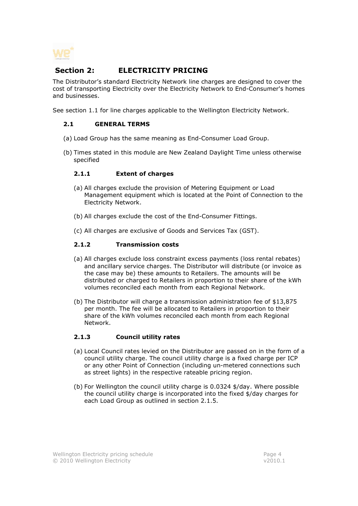

# Section 2: **ELECTRICITY PRICING**

The Distributor's standard Electricity Network line charges are designed to cover the cost of transporting Electricity over the Electricity Network to End-Consumer's homes and businesses.

See section 1.1 for line charges applicable to the Wellington Electricity Network.

#### 2.1 GENERAL TERMS

- (a) Load Group has the same meaning as End-Consumer Load Group.
- (b) Times stated in this module are New Zealand Daylight Time unless otherwise specified

#### 2.1.1 Extent of charges

- (a) All charges exclude the provision of Metering Equipment or Load Management equipment which is located at the Point of Connection to the Electricity Network.
- (b) All charges exclude the cost of the End-Consumer Fittings.
- (c) All charges are exclusive of Goods and Services Tax (GST).

#### 2.1.2 Transmission costs

- (a) All charges exclude loss constraint excess payments (loss rental rebates) and ancillary service charges. The Distributor will distribute (or invoice as the case may be) these amounts to Retailers. The amounts will be distributed or charged to Retailers in proportion to their share of the kWh volumes reconciled each month from each Regional Network.
- (b) The Distributor will charge a transmission administration fee of \$13,875 per month. The fee will be allocated to Retailers in proportion to their share of the kWh volumes reconciled each month from each Regional Network.

# 2.1.3 Council utility rates

- (a) Local Council rates levied on the Distributor are passed on in the form of a council utility charge. The council utility charge is a fixed charge per ICP or any other Point of Connection (including un-metered connections such as street lights) in the respective rateable pricing region.
- (b) For Wellington the council utility charge is 0.0324 \$/day. Where possible the council utility charge is incorporated into the fixed \$/day charges for each Load Group as outlined in section 2.1.5.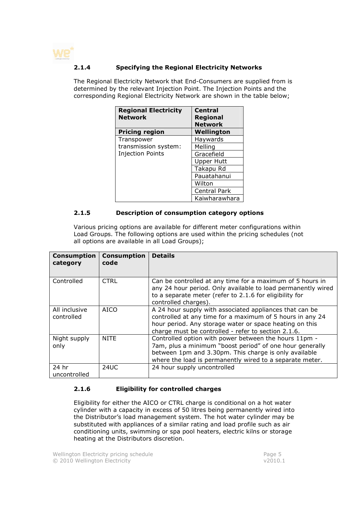

## 2.1.4 Specifying the Regional Electricity Networks

The Regional Electricity Network that End-Consumers are supplied from is determined by the relevant Injection Point. The Injection Points and the corresponding Regional Electricity Network are shown in the table below;

| <b>Regional Electricity</b><br><b>Network</b> | <b>Central</b><br><b>Regional</b><br><b>Network</b> |
|-----------------------------------------------|-----------------------------------------------------|
| <b>Pricing region</b>                         | Wellington                                          |
| Transpower                                    | Haywards                                            |
| transmission system:                          | Melling                                             |
| <b>Injection Points</b>                       | Gracefield                                          |
|                                               | <b>Upper Hutt</b>                                   |
|                                               | Takapu Rd                                           |
|                                               | Pauatahanui                                         |
|                                               | Wilton                                              |
|                                               | <b>Central Park</b>                                 |
|                                               | Kaiwharawhara                                       |

#### 2.1.5 Description of consumption category options

Various pricing options are available for different meter configurations within Load Groups. The following options are used within the pricing schedules (not all options are available in all Load Groups);

| <b>Consumption</b><br>category | <b>Consumption</b><br>code | <b>Details</b>                                                                                                                                                                                                                         |
|--------------------------------|----------------------------|----------------------------------------------------------------------------------------------------------------------------------------------------------------------------------------------------------------------------------------|
| Controlled                     | <b>CTRL</b>                | Can be controlled at any time for a maximum of 5 hours in<br>any 24 hour period. Only available to load permanently wired<br>to a separate meter (refer to 2.1.6 for eligibility for<br>controlled charges).                           |
| All inclusive<br>controlled    | <b>AICO</b>                | A 24 hour supply with associated appliances that can be<br>controlled at any time for a maximum of 5 hours in any 24<br>hour period. Any storage water or space heating on this<br>charge must be controlled - refer to section 2.1.6. |
| Night supply<br>only           | <b>NITE</b>                | Controlled option with power between the hours 11pm -<br>7am, plus a minimum "boost period" of one hour generally<br>between 1pm and 3.30pm. This charge is only available<br>where the load is permanently wired to a separate meter. |
| 24 hr<br>uncontrolled          | 24UC                       | 24 hour supply uncontrolled                                                                                                                                                                                                            |

# 2.1.6 Eligibility for controlled charges

Eligibility for either the AICO or CTRL charge is conditional on a hot water cylinder with a capacity in excess of 50 litres being permanently wired into the Distributor's load management system. The hot water cylinder may be substituted with appliances of a similar rating and load profile such as air conditioning units, swimming or spa pool heaters, electric kilns or storage heating at the Distributors discretion.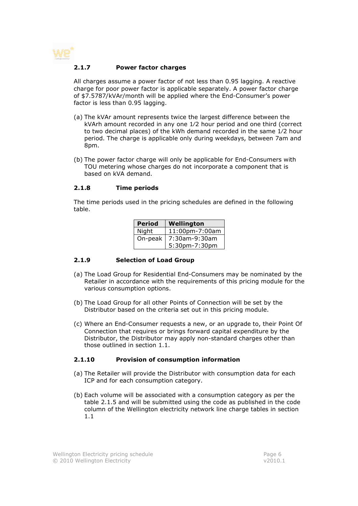

#### 2.1.7 Power factor charges

All charges assume a power factor of not less than 0.95 lagging. A reactive charge for poor power factor is applicable separately. A power factor charge of \$7.5787/kVAr/month will be applied where the End-Consumer's power factor is less than 0.95 lagging.

- (a) The kVAr amount represents twice the largest difference between the kVArh amount recorded in any one 1⁄2 hour period and one third (correct to two decimal places) of the kWh demand recorded in the same 1⁄2 hour period. The charge is applicable only during weekdays, between 7am and 8pm.
- (b) The power factor charge will only be applicable for End-Consumers with TOU metering whose charges do not incorporate a component that is based on kVA demand.

#### 2.1.8 Time periods

The time periods used in the pricing schedules are defined in the following table.

| <b>Period</b> | Wellington     |
|---------------|----------------|
| Night         | 11:00pm-7:00am |
| On-peak       | 7:30am-9:30am  |
|               | 5:30pm-7:30pm  |

#### 2.1.9 Selection of Load Group

- (a) The Load Group for Residential End-Consumers may be nominated by the Retailer in accordance with the requirements of this pricing module for the various consumption options.
- (b) The Load Group for all other Points of Connection will be set by the Distributor based on the criteria set out in this pricing module.
- (c) Where an End-Consumer requests a new, or an upgrade to, their Point Of Connection that requires or brings forward capital expenditure by the Distributor, the Distributor may apply non-standard charges other than those outlined in section 1.1.

#### 2.1.10 Provision of consumption information

- (a) The Retailer will provide the Distributor with consumption data for each ICP and for each consumption category.
- (b) Each volume will be associated with a consumption category as per the table 2.1.5 and will be submitted using the code as published in the code column of the Wellington electricity network line charge tables in section 1.1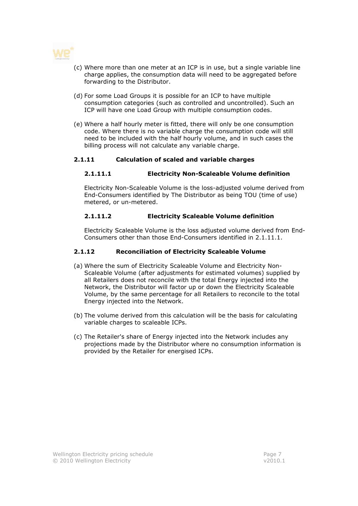

- (c) Where more than one meter at an ICP is in use, but a single variable line charge applies, the consumption data will need to be aggregated before forwarding to the Distributor.
- (d) For some Load Groups it is possible for an ICP to have multiple consumption categories (such as controlled and uncontrolled). Such an ICP will have one Load Group with multiple consumption codes.
- (e) Where a half hourly meter is fitted, there will only be one consumption code. Where there is no variable charge the consumption code will still need to be included with the half hourly volume, and in such cases the billing process will not calculate any variable charge.

#### 2.1.11 Calculation of scaled and variable charges

#### 2.1.11.1 Electricity Non-Scaleable Volume definition

Electricity Non-Scaleable Volume is the loss-adjusted volume derived from End-Consumers identified by The Distributor as being TOU (time of use) metered, or un-metered.

#### 2.1.11.2 Electricity Scaleable Volume definition

Electricity Scaleable Volume is the loss adjusted volume derived from End-Consumers other than those End-Consumers identified in 2.1.11.1.

#### 2.1.12 Reconciliation of Electricity Scaleable Volume

- (a) Where the sum of Electricity Scaleable Volume and Electricity Non-Scaleable Volume (after adjustments for estimated volumes) supplied by all Retailers does not reconcile with the total Energy injected into the Network, the Distributor will factor up or down the Electricity Scaleable Volume, by the same percentage for all Retailers to reconcile to the total Energy injected into the Network.
- (b) The volume derived from this calculation will be the basis for calculating variable charges to scaleable ICPs.
- (c) The Retailer's share of Energy injected into the Network includes any projections made by the Distributor where no consumption information is provided by the Retailer for energised ICPs.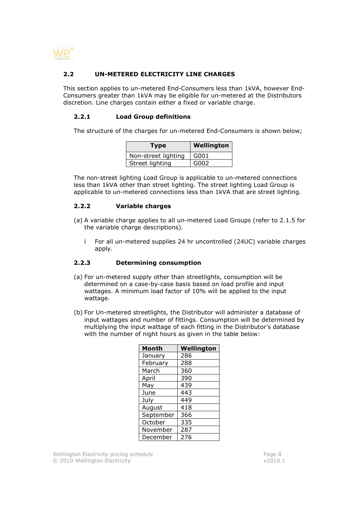

## 2.2 UN-METERED ELECTRICITY LINE CHARGES

This section applies to un-metered End-Consumers less than 1kVA, however End-Consumers greater than 1kVA may be eligible for un-metered at the Distributors discretion. Line charges contain either a fixed or variable charge.

#### 2.2.1 Load Group definitions

The structure of the charges for un-metered End-Consumers is shown below;

| <b>Type</b>         | Wellington |
|---------------------|------------|
| Non-street lighting | G001       |
| Street lighting     | G002       |

The non-street lighting Load Group is applicable to un-metered connections less than 1kVA other than street lighting. The street lighting Load Group is applicable to un-metered connections less than 1kVA that are street lighting.

#### 2.2.2 Variable charges

- (a) A variable charge applies to all un-metered Load Groups (refer to 2.1.5 for the variable charge descriptions).
	- i For all un-metered supplies 24 hr uncontrolled (24UC) variable charges apply.

#### 2.2.3 Determining consumption

- (a) For un-metered supply other than streetlights, consumption will be determined on a case-by-case basis based on load profile and input wattages. A minimum load factor of 10% will be applied to the input wattage.
- (b) For Un-metered streetlights, the Distributor will administer a database of input wattages and number of fittings. Consumption will be determined by multiplying the input wattage of each fitting in the Distributor's database with the number of night hours as given in the table below:

| Month     | Wellington |
|-----------|------------|
| January   | 286        |
| February  | 288        |
| March     | 360        |
| April     | 390        |
| May       | 439        |
| June      | 443        |
| July      | 449        |
| August    | 418        |
| September | 366        |
| October   | 335        |
| November  | 287        |
| December  | 276        |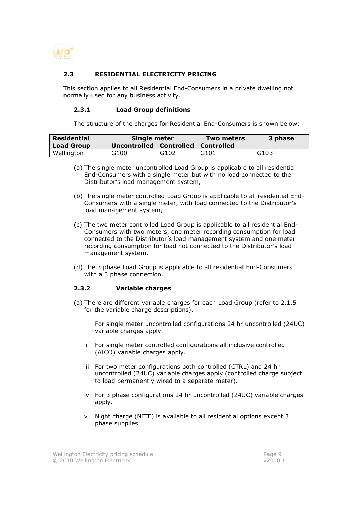

# 2.3 RESIDENTIAL ELECTRICITY PRICING

This section applies to all Residential End-Consumers in a private dwelling not normally used for any business activity.

#### 2.3.1 Load Group definitions

The structure of the charges for Residential End-Consumers is shown below;

| Residential       | Single meter                           |      | Two meters | 3 phase |
|-------------------|----------------------------------------|------|------------|---------|
| <b>Load Group</b> | Uncontrolled   Controlled   Controlled |      |            |         |
| Wellington        | G100                                   | G102 | G101       | G103    |

- (a) The single meter uncontrolled Load Group is applicable to all residential End-Consumers with a single meter but with no load connected to the Distributor's load management system,
- (b) The single meter controlled Load Group is applicable to all residential End-Consumers with a single meter, with load connected to the Distributor's load management system,
- (c) The two meter controlled Load Group is applicable to all residential End-Consumers with two meters, one meter recording consumption for load connected to the Distributor's load management system and one meter recording consumption for load not connected to the Distributor's load management system,
- (d) The 3 phase Load Group is applicable to all residential End-Consumers with a 3 phase connection.

#### 2.3.2 Variable charges

- (a) There are different variable charges for each Load Group (refer to 2.1.5 for the variable charge descriptions).
	- i For single meter uncontrolled configurations 24 hr uncontrolled (24UC) variable charges apply.
	- ii For single meter controlled configurations all inclusive controlled (AICO) variable charges apply.
	- iii For two meter configurations both controlled (CTRL) and 24 hr uncontrolled (24UC) variable charges apply (controlled charge subject to load permanently wired to a separate meter).
	- iv For 3 phase configurations 24 hr uncontrolled (24UC) variable charges apply.
	- v Night charge (NITE) is available to all residential options except 3 phase supplies.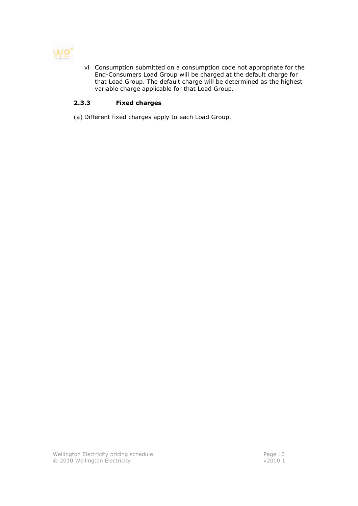

vi Consumption submitted on a consumption code not appropriate for the End-Consumers Load Group will be charged at the default charge for that Load Group. The default charge will be determined as the highest variable charge applicable for that Load Group.

# 2.3.3 Fixed charges

(a) Different fixed charges apply to each Load Group.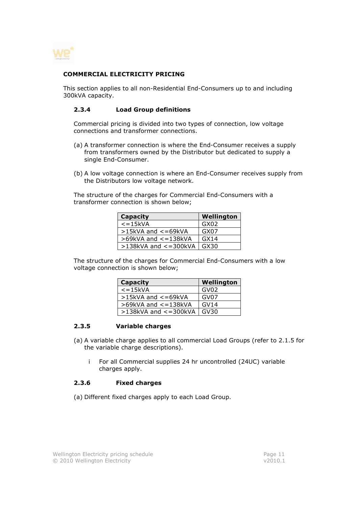

#### COMMERCIAL ELECTRICITY PRICING

This section applies to all non-Residential End-Consumers up to and including 300kVA capacity.

#### 2.3.4 Load Group definitions

Commercial pricing is divided into two types of connection, low voltage connections and transformer connections.

- (a) A transformer connection is where the End-Consumer receives a supply from transformers owned by the Distributor but dedicated to supply a single End-Consumer.
- (b) A low voltage connection is where an End-Consumer receives supply from the Distributors low voltage network.

The structure of the charges for Commercial End-Consumers with a transformer connection is shown below;

| <b>Capacity</b>            | Wellington       |
|----------------------------|------------------|
| $\epsilon$ = 15kVA         | GX02             |
| $>15kVA$ and $<=69kVA$     | GX07             |
| $>69$ kVA and $<=138$ kVA  | GX <sub>14</sub> |
| $>138$ kVA and $<=300$ kVA | GX30             |

The structure of the charges for Commercial End-Consumers with a low voltage connection is shown below;

| <b>Capacity</b>            | Wellington |
|----------------------------|------------|
| $\epsilon$ = 15kVA         | GV02       |
| >15kVA and <= 69kVA        | GV07       |
| $>69$ kVA and $<=138$ kVA  | GV14       |
| $>138$ kVA and $<=300$ kVA | GV30       |

#### 2.3.5 Variable charges

- (a) A variable charge applies to all commercial Load Groups (refer to 2.1.5 for the variable charge descriptions).
	- i For all Commercial supplies 24 hr uncontrolled (24UC) variable charges apply.

#### 2.3.6 Fixed charges

(a) Different fixed charges apply to each Load Group.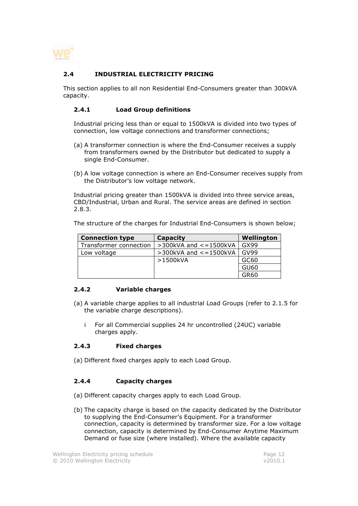

# 2.4 INDUSTRIAL ELECTRICITY PRICING

This section applies to all non Residential End-Consumers greater than 300kVA capacity.

#### 2.4.1 Load Group definitions

Industrial pricing less than or equal to 1500kVA is divided into two types of connection, low voltage connections and transformer connections;

- (a) A transformer connection is where the End-Consumer receives a supply from transformers owned by the Distributor but dedicated to supply a single End-Consumer.
- (b) A low voltage connection is where an End-Consumer receives supply from the Distributor's low voltage network.

Industrial pricing greater than 1500kVA is divided into three service areas, CBD/Industrial, Urban and Rural. The service areas are defined in section 2.8.3.

The structure of the charges for Industrial End-Consumers is shown below;

| <b>Connection type</b> | Capacity                       | Wellington |
|------------------------|--------------------------------|------------|
| Transformer connection | $>$ 300kVA and $<$ = 1500kVA   | GX99       |
| Low voltage            | $>$ 300kVA and $\lt$ = 1500kVA | GV99       |
|                        | >1500kVA                       | GC60       |
|                        |                                | GU60       |
|                        |                                | GR60       |

# 2.4.2 Variable charges

- (a) A variable charge applies to all industrial Load Groups (refer to 2.1.5 for the variable charge descriptions).
	- i For all Commercial supplies 24 hr uncontrolled (24UC) variable charges apply.

#### 2.4.3 Fixed charges

(a) Different fixed charges apply to each Load Group.

#### 2.4.4 Capacity charges

- (a) Different capacity charges apply to each Load Group.
- (b) The capacity charge is based on the capacity dedicated by the Distributor to supplying the End-Consumer's Equipment. For a transformer connection, capacity is determined by transformer size. For a low voltage connection, capacity is determined by End-Consumer Anytime Maximum Demand or fuse size (where installed). Where the available capacity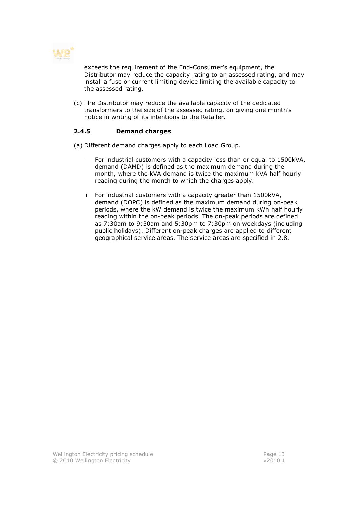

exceeds the requirement of the End-Consumer's equipment, the Distributor may reduce the capacity rating to an assessed rating, and may install a fuse or current limiting device limiting the available capacity to the assessed rating.

(c) The Distributor may reduce the available capacity of the dedicated transformers to the size of the assessed rating, on giving one month's notice in writing of its intentions to the Retailer.

# 2.4.5 Demand charges

(a) Different demand charges apply to each Load Group.

- i For industrial customers with a capacity less than or equal to 1500kVA, demand (DAMD) is defined as the maximum demand during the month, where the kVA demand is twice the maximum kVA half hourly reading during the month to which the charges apply.
- ii For industrial customers with a capacity greater than 1500kVA, demand (DOPC) is defined as the maximum demand during on-peak periods, where the kW demand is twice the maximum kWh half hourly reading within the on-peak periods. The on-peak periods are defined as 7:30am to 9:30am and 5:30pm to 7:30pm on weekdays (including public holidays). Different on-peak charges are applied to different geographical service areas. The service areas are specified in 2.8.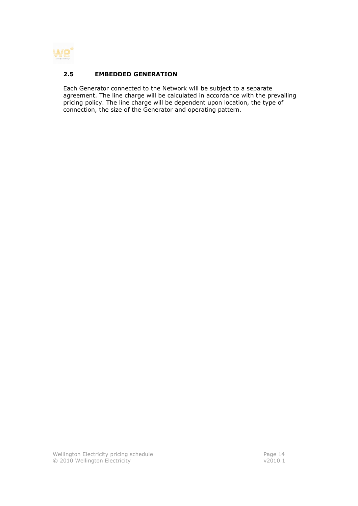

# 2.5 EMBEDDED GENERATION

Each Generator connected to the Network will be subject to a separate agreement. The line charge will be calculated in accordance with the prevailing pricing policy. The line charge will be dependent upon location, the type of connection, the size of the Generator and operating pattern.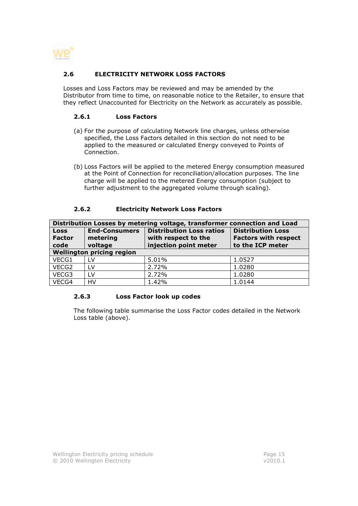

# 2.6 ELECTRICITY NETWORK LOSS FACTORS

Losses and Loss Factors may be reviewed and may be amended by the Distributor from time to time, on reasonable notice to the Retailer, to ensure that they reflect Unaccounted for Electricity on the Network as accurately as possible.

#### 2.6.1 Loss Factors

- (a) For the purpose of calculating Network line charges, unless otherwise specified, the Loss Factors detailed in this section do not need to be applied to the measured or calculated Energy conveyed to Points of Connection.
- (b) Loss Factors will be applied to the metered Energy consumption measured at the Point of Connection for reconciliation/allocation purposes. The line charge will be applied to the metered Energy consumption (subject to further adjustment to the aggregated volume through scaling).

#### 2.6.2 Electricity Network Loss Factors

| Distribution Losses by metering voltage, transformer connection and Load |                                  |                                                        |                                                         |  |
|--------------------------------------------------------------------------|----------------------------------|--------------------------------------------------------|---------------------------------------------------------|--|
| <b>Loss</b><br><b>Factor</b>                                             | <b>End-Consumers</b><br>metering | <b>Distribution Loss ratios</b><br>with respect to the | <b>Distribution Loss</b><br><b>Factors with respect</b> |  |
| code                                                                     | voltage                          | injection point meter                                  | to the ICP meter                                        |  |
| <b>Wellington pricing region</b>                                         |                                  |                                                        |                                                         |  |
| VECG1                                                                    | <b>LV</b>                        | 5.01%                                                  | 1.0527                                                  |  |
| VECG2                                                                    | LV                               | 2.72%                                                  | 1.0280                                                  |  |
| VECG3                                                                    | 1V                               | 2.72%                                                  | 1.0280                                                  |  |
| VECG4                                                                    | HV                               | 1.42%                                                  | 1.0144                                                  |  |

#### 2.6.3 Loss Factor look up codes

The following table summarise the Loss Factor codes detailed in the Network Loss table (above).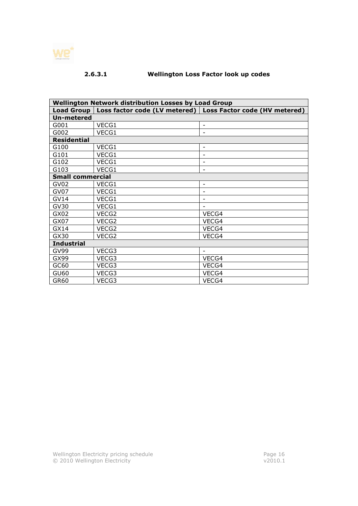

# 2.6.3.1 Wellington Loss Factor look up codes

| <b>Wellington Network distribution Losses by Load Group</b> |       |                                                               |  |
|-------------------------------------------------------------|-------|---------------------------------------------------------------|--|
| <b>Load Group</b>                                           |       | Loss factor code (LV metered)   Loss Factor code (HV metered) |  |
| <b>Un-metered</b>                                           |       |                                                               |  |
| G001                                                        | VECG1 | $\overline{\phantom{a}}$                                      |  |
| G002                                                        | VECG1 |                                                               |  |
| <b>Residential</b>                                          |       |                                                               |  |
| G100                                                        | VECG1 | $\overline{\phantom{a}}$                                      |  |
| G101                                                        | VECG1 |                                                               |  |
| G102                                                        | VECG1 | $\overline{\phantom{a}}$                                      |  |
| G103                                                        | VECG1 | $\overline{\phantom{a}}$                                      |  |
| <b>Small commercial</b>                                     |       |                                                               |  |
| GV <sub>02</sub>                                            | VECG1 | $\overline{\phantom{a}}$                                      |  |
| GV07                                                        | VECG1 | $\overline{\phantom{a}}$                                      |  |
| GV14                                                        | VECG1 | $\overline{\phantom{a}}$                                      |  |
| <b>GV30</b>                                                 | VECG1 | $\overline{\phantom{a}}$                                      |  |
| GX02                                                        | VECG2 | VECG4                                                         |  |
| GX07                                                        | VECG2 | VECG4                                                         |  |
| GX14                                                        | VECG2 | VECG4                                                         |  |
| GX30                                                        | VECG2 | VECG4                                                         |  |
| <b>Industrial</b>                                           |       |                                                               |  |
| <b>GV99</b>                                                 | VECG3 |                                                               |  |
| GX99                                                        | VECG3 | VECG4                                                         |  |
| GC60                                                        | VECG3 | VECG4                                                         |  |
| <b>GU60</b>                                                 | VECG3 | VECG4                                                         |  |
| GR60                                                        | VECG3 | VECG4                                                         |  |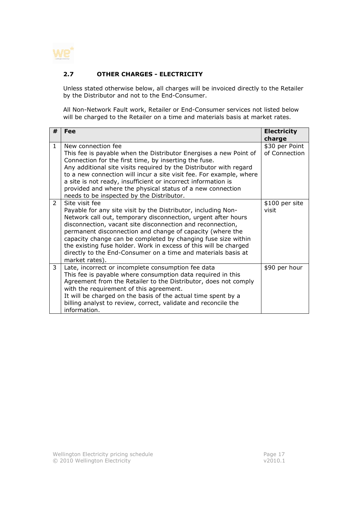

# 2.7 OTHER CHARGES - ELECTRICITY

Unless stated otherwise below, all charges will be invoiced directly to the Retailer by the Distributor and not to the End-Consumer.

All Non-Network Fault work, Retailer or End-Consumer services not listed below will be charged to the Retailer on a time and materials basis at market rates.

| #             | Fee                                                                                                                                                                                                                                                                                                                                                                                                                                                                                                 | <b>Electricity</b>              |
|---------------|-----------------------------------------------------------------------------------------------------------------------------------------------------------------------------------------------------------------------------------------------------------------------------------------------------------------------------------------------------------------------------------------------------------------------------------------------------------------------------------------------------|---------------------------------|
|               |                                                                                                                                                                                                                                                                                                                                                                                                                                                                                                     | charge                          |
| $\mathbf{1}$  | New connection fee<br>This fee is payable when the Distributor Energises a new Point of<br>Connection for the first time, by inserting the fuse.<br>Any additional site visits required by the Distributor with regard<br>to a new connection will incur a site visit fee. For example, where<br>a site is not ready, insufficient or incorrect information is<br>provided and where the physical status of a new connection<br>needs to be inspected by the Distributor.                           | \$30 per Point<br>of Connection |
| $\mathcal{P}$ | Site visit fee<br>Payable for any site visit by the Distributor, including Non-<br>Network call out, temporary disconnection, urgent after hours<br>disconnection, vacant site disconnection and reconnection,<br>permanent disconnection and change of capacity (where the<br>capacity change can be completed by changing fuse size within<br>the existing fuse holder. Work in excess of this will be charged<br>directly to the End-Consumer on a time and materials basis at<br>market rates). | \$100 per site<br>visit         |
| 3             | Late, incorrect or incomplete consumption fee data<br>This fee is payable where consumption data required in this<br>Agreement from the Retailer to the Distributor, does not comply<br>with the requirement of this agreement.<br>It will be charged on the basis of the actual time spent by a<br>billing analyst to review, correct, validate and reconcile the<br>information.                                                                                                                  | \$90 per hour                   |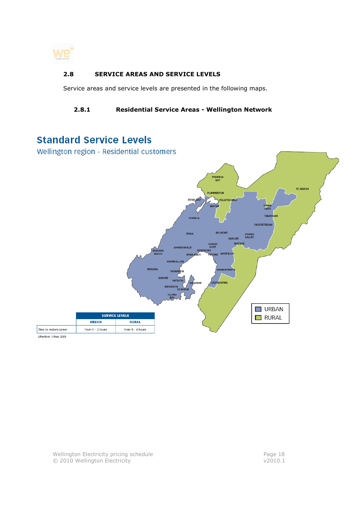

# 2.8 SERVICE AREAS AND SERVICE LEVELS

Service areas and service levels are presented in the following maps.

# 2.8.1 Residential Service Areas - Wellington Network

# **Standard Service Levels**

Wellington region - Residential customers



Effective: 1 May 2005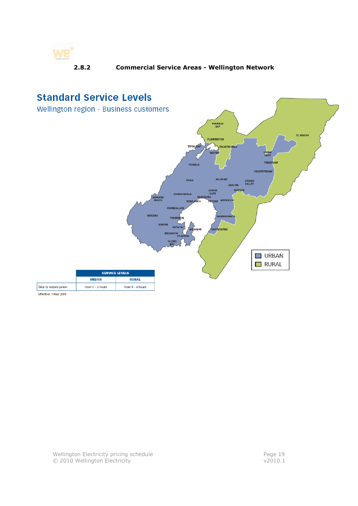

# 2.8.2 Commercial Service Areas - Wellington Network